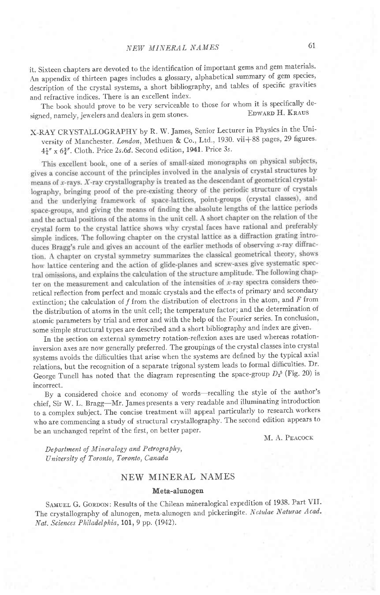it. Sixteen chapters are devoted to the identification of important gems and gem materials. An appendix of thirteen pages includes a glossary, alphabetical summary of gem species, description of the crystal systems, a short bibliography, and tables of specific gravities and refractive indices. There is an excellent index.

The book should prove to be very serviceable to those for whom it is specifically de-<br>need namely jewelers and dealers in gem stones signed, namely, jewelers and dealers in gem stones.

x-RAy CRYSTALLOGRAPHY by R. W. James, Senior Lecturer in Physics in the university of Manchester. London, Methuen & Co., Ltd., 1930. vii+88 pages, 29 figures.  $4\frac{1}{4}$ " x  $6\frac{3}{4}$ ". Cloth. Price 2s.6d. Second edition, 1941. Price 3s.

This excellent book, one of a series of small-sized monographs on physical subjects, gives a concise account of the principles involved in the analysis of crystal structures by means of x-rays. X-ray crystallography is treated as the descendant of geometrical crystallography, bringing proof of the pre-existing theory of the periodic structure of crystals and the underlying framework of space-lattices, point-groups (crystal classes), and space-groups, and giving the means of finding the absolute lengths of the lattice periods and the actual positions of the atoms in the unit cell. A short chapter on the relation of the crystal form to the crystal lattice shows why crystal faces have rational and preferably simple indices. The following chapter on the crystal lattice as a diffraction grating introduces Bragg's rule and gives an account of the earlier methods of observing x-ray diffraction. A chapter on crystal symmetry summarizes the classical geometrical theory, shows how lattice centering and the action of glide-planes and screw-axes give systematic spectral omissions, and explains the calculation of the structure amplitude. The following chapter on the measurement and calculation of the intensities of  $x$ -ray spectra considers theoretical reflection from perfect and mozaic crystals and the effects of primary and secondary extinction; the calculation of  $f$  from the distribution of electrons in the atom, and  $F$  from the distribution of atoms in the unit cell; the temperature factor; and the determination of atomic parameters by trial and error and with the help of the Fourier series. In conclusion, some simple structural types are described and a short bibliography and index are given.

In the section on external symmetry rotation-reflexion axes are used whereas rotationinversion axes are now generally preferred. The groupings of the crystal classes into crystal systems avoids the difhculties that arise when the systems are defined by the typical axial relations, but the recognition of a separate trigonal system leads to formal difficulties. Dr. George Tunell has noted that the diagram representing the space-group  $D_2$ <sup>5</sup> (Fig. 20) is incorrect.

By a considered choice and economy of words-recalling the style of the author's chief, sir w. L. Bragg-Mr. Jamespresents a very readable and illuminating introduction to a complex subject. The concise treatment will appeal particularly to research workers who are commencing a study of structural crystallography. The second edition appears to be an unchanged reprint of the first, on better paper.

M. A. PEACOCK

Department of Mineralogy and Petrography, University of Toronto, Toronto, Canada

## NEW MINERAL NAMES

#### Meta-alunogen

SAMUEL G. GORDON: Results of the Chilean mineralogical expedition of 1938. Part VII. The crystallography of alunogen, meta-alunogen and pickeringite. Nctulae Naturae Acad. Nat. Sciences Philadelphia, 101, 9 pp. (1942).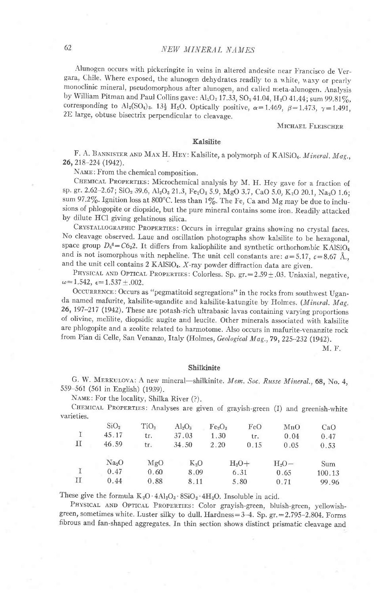### NEW MINERAL NAMES

Alunogen occurs with pickeringite in veins in altered andesite near Francisco de Vergara, Chile. Where exposed, the alunogen dehydrates readily to a white, waxy or pearly monoclinic mineral, pseudomorphous after alunogen, and called meta-alunogen. Analysis by William Pitman and Paul Collins gave:  $Al_2O_3 17.33$ ,  $SO_3 41.04$ ,  $H_2O 41.44$ ; sum 99.81%, corresponding to Al<sub>2</sub>(SO<sub>4</sub>)<sub>3</sub>. 13<sup>1</sup>/<sub>2</sub> H<sub>2</sub>O. Optically positive,  $\alpha$  = 1.469,  $\beta$  = 1.473,  $\gamma$  = 1.491, 2E large, obtuse bisectrix perpendicular to cleavage.

#### MICHAEL FLEISCHER

#### Kalsilite

F. A. BANNISTER AND MAX H. HEY: Kalsilite, a polymorph of KAlSiO4. Mineral. Mag., 26, 218-224 (1942).

NAME: From the chemical composition.

CHEMICAL PROPERTIES: Microchemical analysis by M. H. Hey gave for a fraction of sp. gr. 2.62-2.67; SiO<sub>2</sub> 39.6, Al<sub>2</sub>O<sub>2</sub> 21.3, Fe<sub>2</sub>O<sub>3</sub> 5.9, MgO 3.7, CaO 5.0, K<sub>2</sub>O 20.1, Na<sub>2</sub>O 1.6; sum 97.2%. Ignition loss at 800°C. less than 1%. The Fe, Ca and Mg may be due to inclusions of phlogopite or diopside, but the pure mineral contains some iron. Readily attacked by dilute HCl giving gelatinous silica.

CRYSTALLOGRAPHIC PROPERTIES: Occurs in irregular grains showing no crystal faces. No cleavage observed. Laue and oscillation photographs show kalsilite to be hexagonal, space group  $D_6^6 = C6_3 2$ . It differs from kaliophilite and synthetic orthorhombic KAlSiO<sub>4</sub> and is not isomorphous with nepheline. The unit cell constants are:  $a = 5.17$ ,  $c = 8.67$  Å., and the unit cell contains 2 KAlSiO<sub>4</sub>. X-ray powder diffraction data are given.

PHYSICAL AND OPTICAL PROPERTIES: Colorless. Sp. gr. = 2.59 ± .03. Uniaxial, negative,  $\omega$  = 1.542,  $\epsilon$  = 1.537  $\pm$  .002.

OCCURRENCE: Occurs as "pegmatitoid segregations" in the rocks from southwest Uganda named mafurite, kalsilite-ugandite and kalsilite-katungite by Holmes. (Mineral. Mag. 26, 197-217 (1942). These are potash-rich ultrabasic lavas containing varying proportions of olivine, melilite, diopsidic augite and leucite. Other minerals associated with kalsilite are phlogopite and a zeolite related to harmotome. Also occurs in mafurite-venanzite rock from Pian di Celle, San Venanzo, Italy (Holmes, Geological Mag., 79, 225-232 (1942).

M. F.

#### Shilkinite

G. W. MERKULOVA: A new mineral-shilkinite. Mem. Soc. Russe Mineral., 68, No. 4, 559-561 (561 in English) (1939).

NAME: For the locality, Shilka River (?).

CHEMICAL PROPERTIES: Analyses are given of grayish-green (I) and greenish-white varieties.

|   | SiO <sub>2</sub>  | TiO <sub>2</sub> | $Al_2O_3$ | Fe <sub>2</sub> O <sub>3</sub> | FeO  | MnO     | CaO    |
|---|-------------------|------------------|-----------|--------------------------------|------|---------|--------|
|   | 45.17             | tr.              | 37.03     | 1.30                           | tr.  | 0.04    | 0.47   |
| п | 46.59             | tr.              | 34.50     | 2.20                           | 0.15 | 0.05    | 0.53   |
|   | Na <sub>2</sub> O | MgO              | $K_2O$    | $H_2O+$                        |      | $H_2O-$ | Sum    |
|   | 0.47              | 0.60             | 8.09      | 6.31                           |      | 0.65    | 100.13 |
| П | 0.44              | 0.88             | 8.11      |                                | 5.80 | 0.71    | 99.96  |

These give the formula  $K_2O \cdot 4Al_2O_3 \cdot 8SiO_2 \cdot 4H_2O$ . Insoluble in acid.

PHYSICAL AND OPTICAL PROPERTIES: Color grayish-green, bluish-green, yellowishgreen, sometimes white. Luster silky to dull. Hardness=3-4. Sp. gr. = 2.795-2.804. Forms fibrous and fan-shaped aggregates. In thin section shows distinct prismatic cleavage and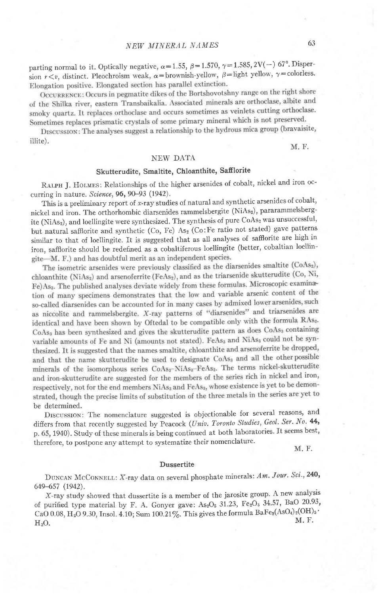parting normal to it. Optically negative,  $\alpha=1.55$ ,  $\beta=1.570$ ,  $\gamma=1.585$ ,  $2V(-)$  67°. Dispersion  $r < v$ , distinct. Pleochroism weak,  $\alpha =$ brownish-yellow,  $\beta =$ light yellow,  $\gamma =$ colorless.<br>Elongation positive. Elongated section has parallel extinction.

OCCURRENCE: Occurs in pegmatite dikes of the Bortshovotshny range on the right shore of the Shilka river, eastern Transbaikalia. Associated minerals are orthoclase, albite and smoky quartz. It replaces orthoclase and occurs sometimes as veinlets cutting orthoclase. Sometimes replaces prismatic crystals of some primary mineral which is not preserved.

DISCUSSION: The analyses suggest a relationship to the hydrous mica group (bravaisite, illite).

M. F.

## NEW DATA

## Skutterudite, Smaltite, Chloanthite, Safflorite

RALPH J. HOLMES: Relationships of the higher arsenides of cobalt, nickel and iron occurring in nature. Science, **96,** 90–93 (1942).

This is a preliminary report of x-ray studies of natural and synthetic arsenides of cobalt, nickel and iron. The orthorhombic diarsenides rammelsbergite (NiAs), pararammelsbergite (NiAs<sub>2</sub>), and loellingite were synthesized. The synthesis of pure CoAs<sub>2</sub> was unsuccessful, but natural safflorite and synthetic (Co, Fe) As<sub>2</sub> (Co:Fe ratio not stated) gave patterns similar to that of loellingite. It is suggested that as all analyses of safflorite are high in iron, saffiorite should be redefined as a cobaltiferous loellingite (better, cobaltian loellingite—M. F.) and has doubtful merit as an independent species.

The isometric arsenides were previously classified as the diarsenides smaltite (CoAs<sub>2</sub>), chloanthite (NiAs<sub>2</sub>) and arsenoferrite (FeAs<sub>2</sub>), and as the triarsenide skutterudite (Co, Ni, Fe)As<sub>3</sub>. The published analyses deviate widely from these formulas. Microscopic examination of many specimens demonstrates that the low and variable arsenic content of the so-called diarsenides can be accounted for in many cases by admixed lower arsenides, such as niccolite and rammelsbergite. X-ray patterns of "diarsenides" and triarsenides are identical and have been shown by Oftedal to be compatible only with the formula RAss. CoAs, has been synthesized and gives the skutterudite pattern as does CoAs, containing variable amounts of Fe and Ni (amounts not stated). FeAs, and NiAs, could not be synthesized. It is suggested that the names smallite, chloanthite and arsenoferrite be dropped, and that the name skutterudite be used to designate CoAs<sub>3</sub> and all the other possible minerals of the isomorphous series CoAs<sub>3</sub>-NiAs<sub>3</sub>-FeAs<sub>3</sub>. The terms nickel-skutterudite and iron-skutterudite are suggested for the members of the series rich in nickel and iron, respectively, not for the end members NiAs<sub>4</sub> and FeAs<sub>4</sub>, whose existence is yet to be demonstrated, though the precise limits of substitution of the three metals in the series are yet to be determined.

DISCUSSION: The nomenclature suggested is objectionable for several reasons, and differs from that recently suggested by Peacock (Univ. Toronto Studies, Geol. Ser. No. 44, p. 65, 1940). Study of these minerals is being continued at both laboratories. It seems best, therefore, to postpone any attempt to systematize their nomenclature.

M, F.

#### Dussertite

DUNCAN McCONNELL: X-ray data on several phosphate minerals: Am. Jour. Sci., 240, 649-657 (1942).

X-ray study showed that dussertite is a member of the jarosite group. A new analysis of purified type material by F. A. Gonyer gave:  $As_2O_5$  31.23, Fe<sub>2</sub>O<sub>3</sub> 34.57, BaO 20.93, CaO 0.08, H<sub>2</sub>O 9.30, Insol. 4.10; Sum 100.21%. This gives the formula BaFe<sub>3</sub>(AsO<sub>4</sub>)<sub>2</sub>(OH)<sub>5</sub>.  $H<sub>2</sub>O$ . M.F.